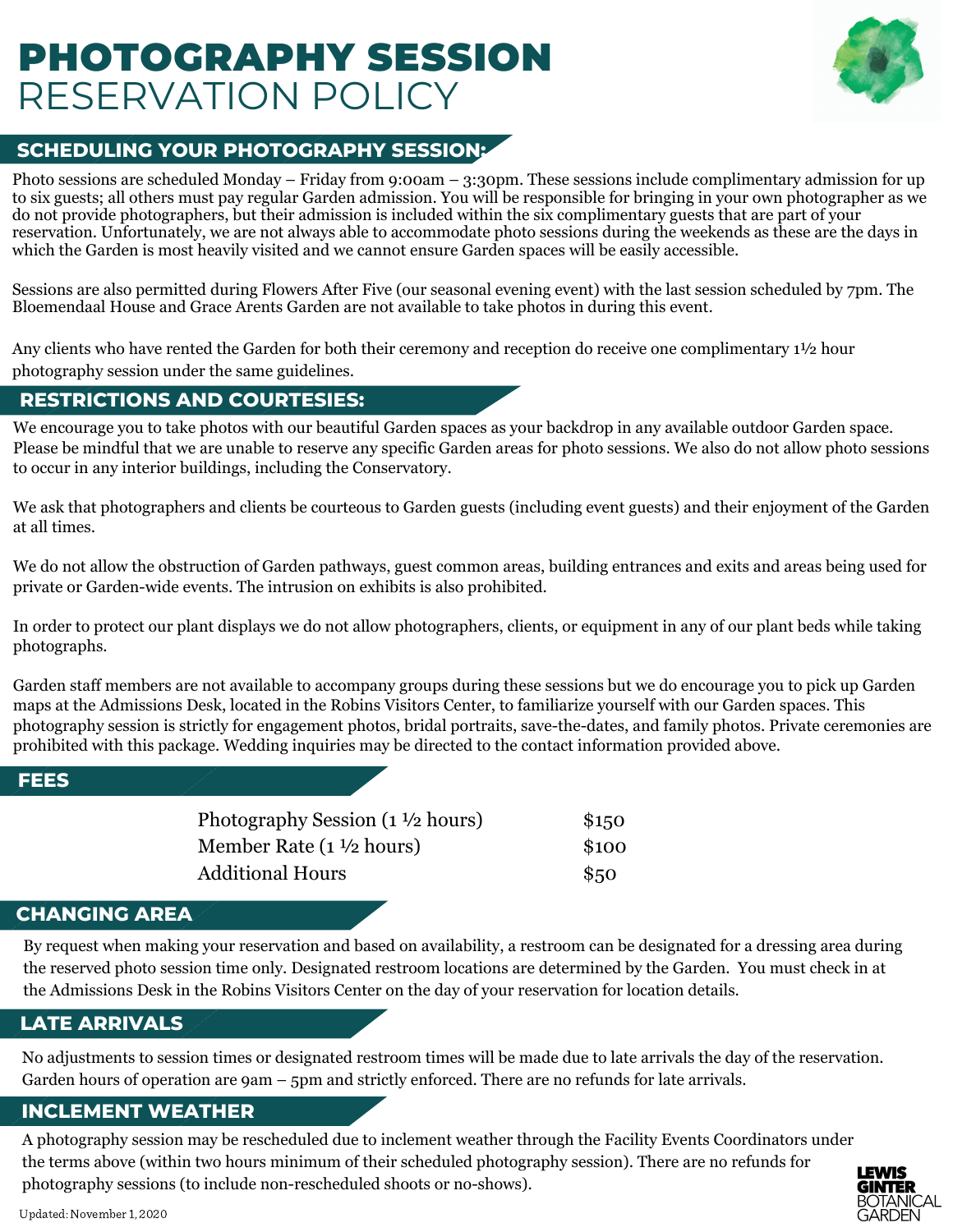# PHOTOGRAPHY SESSION RESERVATION POLICY



# **SCHEDULING YOUR PHOTOGRAPHY SESSION:**

Photo sessions are scheduled Monday – Friday from 9:00am – 3:30pm. These sessions include complimentary admission for up to six guests; all others must pay regular Garden admission. You will be responsible for bringing in your own photographer as we do not provide photographers, but their admission is included within the six complimentary guests that are part of your reservation. Unfortunately, we are not always able to accommodate photo sessions during the weekends as these are the days in which the Garden is most heavily visited and we cannot ensure Garden spaces will be easily accessible.

Sessions are also permitted during Flowers After Five (our seasonal evening event) with the last session scheduled by 7pm. The Bloemendaal House and Grace Arents Garden are not available to take photos in during this event.

Any clients who have rented the Garden for both their ceremony and reception do receive one complimentary 1½ hour photography session under the same guidelines.

### **RESTRICTIONS AND COURTESIES:**

We encourage you to take photos with our beautiful Garden spaces as your backdrop in any available outdoor Garden space. Please be mindful that we are unable to reserve any specific Garden areas for photo sessions. We also do not allow photo sessions to occur in any interior buildings, including the Conservatory.

We ask that photographers and clients be courteous to Garden guests (including event guests) and their enjoyment of the Garden at all times.

We do not allow the obstruction of Garden pathways, guest common areas, building entrances and exits and areas being used for private or Garden-wide events. The intrusion on exhibits is also prohibited.

In order to protect our plant displays we do not allow photographers, clients, or equipment in any of our plant beds while taking photographs.

Garden staff members are not available to accompany groups during these sessions but we do encourage you to pick up Garden maps at the Admissions Desk, located in the Robins Visitors Center, to familiarize yourself with our Garden spaces. This photography session is strictly for engagement photos, bridal portraits, save-the-dates, and family photos. Private ceremonies are prohibited with this package. Wedding inquiries may be directed to the contact information provided above.

### **FEES**

| Photography Session (1 ½ hours) | \$150 |
|---------------------------------|-------|
| Member Rate (1 ½ hours)         | \$100 |
| Additional Hours                | \$50  |

# **CHANGING AREA**

By request when making your reservation and based on availability, a restroom can be designated for a dressing area during the reserved photo session time only. Designated restroom locations are determined by the Garden. You must check in at the Admissions Desk in the Robins Visitors Center on the day of your reservation for location details.

# **LATE ARRIVALS**

No adjustments to session times or designated restroom times will be made due to late arrivals the day of the reservation. Garden hours of operation are 9am – 5pm and strictly enforced. There are no refunds for late arrivals.

# **INCLEMENT WEATHER**

A photography session may be rescheduled due to inclement weather through the Facility Events Coordinators under the terms above (within two hours minimum of their scheduled photography session). There are no refunds for photography sessions (to include non-rescheduled shoots or no-shows).